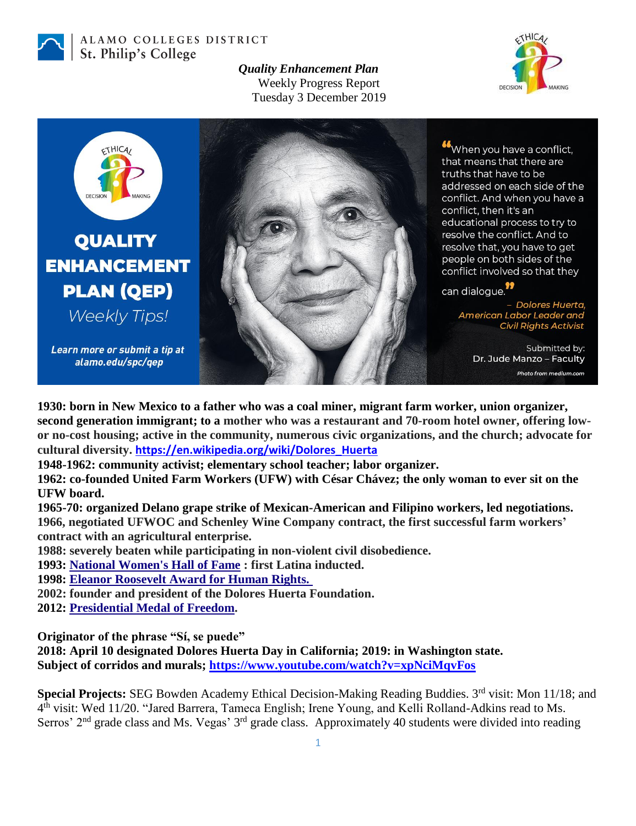

ALAMO COLLEGES DISTRICT St. Philip's College

> *Quality Enhancement Plan* Weekly Progress Report Tuesday 3 December 2019





**1930: born in New Mexico to a father who was a coal miner, migrant farm worker, union organizer, second generation immigrant; to a mother who was a restaurant and 70-room hotel owner, offering lowor no-cost housing; active in the community, numerous civic organizations, and the church; advocate for cultural diversity. [https://en.wikipedia.org/wiki/Dolores\\_Huerta](https://en.wikipedia.org/wiki/Dolores_Huerta)**

**1948-1962: community activist; elementary school teacher; labor organizer.**

**1962: co-founded United Farm Workers (UFW) with César Chávez; the only woman to ever sit on the UFW board.**

**1965-70: organized Delano grape strike of Mexican-American and Filipino workers, led negotiations. 1966, negotiated UFWOC and Schenley Wine Company contract, the first successful farm workers' contract with an agricultural enterprise.**

**1988: severely beaten while participating in non-violent civil disobedience.**

**1993: [National Women's Hall of Fame](https://en.wikipedia.org/wiki/National_Women%27s_Hall_of_Fame) : first Latina inducted.**

**1998: [Eleanor Roosevelt Award for Human Rights.](https://en.wikipedia.org/wiki/Eleanor_Roosevelt_Award_for_Human_Rights)** 

**2002: founder and president of the Dolores Huerta Foundation.**

**2012: [Presidential Medal of Freedom.](https://en.wikipedia.org/wiki/Presidential_Medal_of_Freedom)**

**Originator of the phrase "Sí, se puede"** 

**2018: April 10 designated Dolores Huerta Day in California; 2019: in Washington state. Subject of corridos and murals;<https://www.youtube.com/watch?v=xpNciMqvFos>**

**Special Projects: SEG Bowden Academy Ethical Decision-Making Reading Buddies. 3<sup>rd</sup> visit: Mon 11/18; and** 4<sup>th</sup> visit: Wed 11/20. "Jared Barrera, Tameca English; Irene Young, and Kelli Rolland-Adkins read to Ms. Serros'  $2<sup>nd</sup>$  grade class and Ms. Vegas'  $3<sup>rd</sup>$  grade class. Approximately 40 students were divided into reading